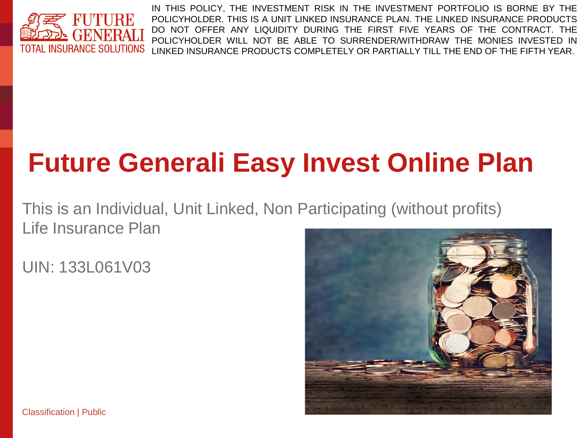

IN THIS POLICY, THE INVESTMENT RISK IN THE INVESTMENT PORTFOLIO IS BORNE BY THE POLICYHOLDER. THIS IS A UNIT LINKED INSURANCE PLAN. THE LINKED INSURANCE PRODUCTS DO NOT OFFER ANY LIQUIDITY DURING THE FIRST FIVE YEARS OF THE CONTRACT. THE POLICYHOLDER WILL NOT BE ABLE TO SURRENDER/WITHDRAW THE MONIES INVESTED IN LINKED INSURANCE PRODUCTS COMPLETELY OR PARTIALLY TILL THE END OF THE FIFTH YEAR.

# **Future Generali Easy Invest Online Plan**

This is an Individual, Unit Linked, Non Participating (without profits) Life Insurance Plan

UIN: 133L061V03



Classification | Public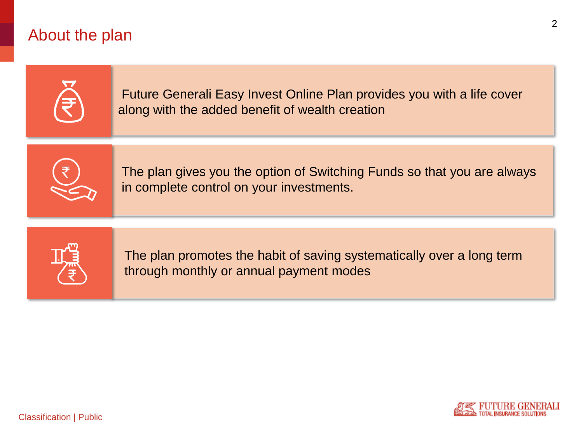## About the plan





2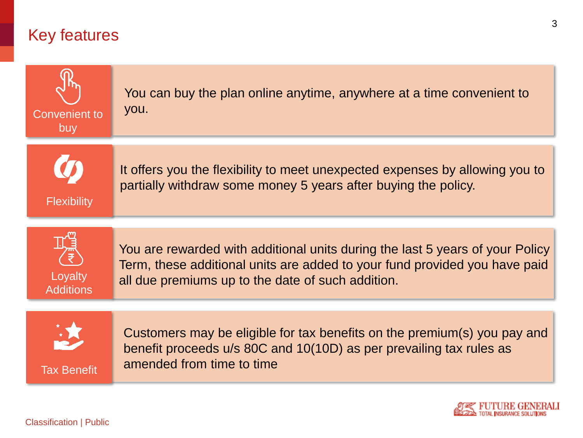## Key features





3

Classification | Public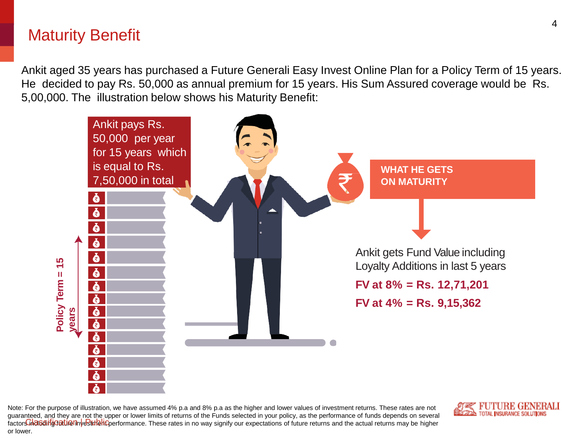## Maturity Benefit

Ankit aged 35 years has purchased a Future Generali Easy Invest Online Plan for a Policy Term of 15 years. He decided to pay Rs. 50,000 as annual premium for 15 years. His Sum Assured coverage would be Rs. 5,00,000. The illustration below shows his Maturity Benefit:



Note: For the purpose of illustration, we have assumed 4% p.a and 8% p.a as the higher and lower values of investment returns. These rates are not guaranteed, and they are not the upper or lower limits of returns of the Funds selected in your policy, as the performance of funds depends on several factors indiculation was the **interpretent performance**. These rates in no way signify our expectations of future returns and the actual returns may be higher or lower.

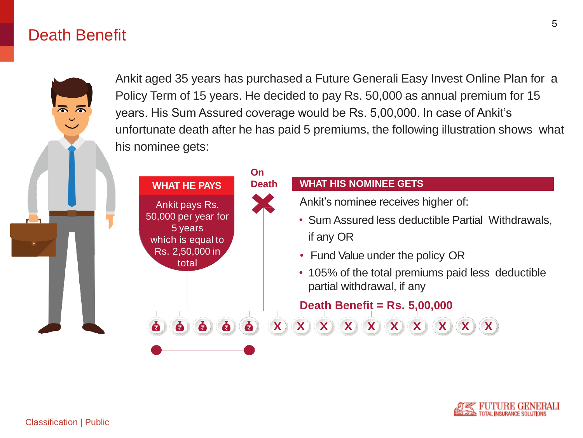### Death Benefit

Ankit aged 35 years has purchased a Future Generali Easy Invest Online Plan for a Policy Term of 15 years. He decided to pay Rs. 50,000 as annual premium for 15 years. His Sum Assured coverage would be Rs. 5,00,000. In case of Ankit's unfortunate death after he has paid 5 premiums, the following illustration shows what his nominee gets:



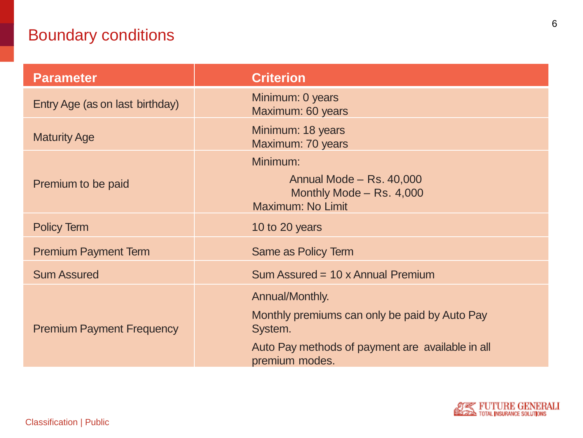## Boundary conditions

| <b>Parameter</b>                 | <b>Criterion</b>                                                                      |  |
|----------------------------------|---------------------------------------------------------------------------------------|--|
| Entry Age (as on last birthday)  | Minimum: 0 years<br>Maximum: 60 years                                                 |  |
| <b>Maturity Age</b>              | Minimum: 18 years<br>Maximum: 70 years                                                |  |
| Premium to be paid               | Minimum:<br>Annual Mode - Rs. 40,000<br>Monthly Mode - Rs. 4,000<br>Maximum: No Limit |  |
| <b>Policy Term</b>               | 10 to 20 years                                                                        |  |
| <b>Premium Payment Term</b>      | <b>Same as Policy Term</b>                                                            |  |
| <b>Sum Assured</b>               | Sum Assured = 10 x Annual Premium                                                     |  |
|                                  | Annual/Monthly.<br>Monthly premiums can only be paid by Auto Pay                      |  |
| <b>Premium Payment Frequency</b> | System.<br>Auto Pay methods of payment are available in all<br>premium modes.         |  |

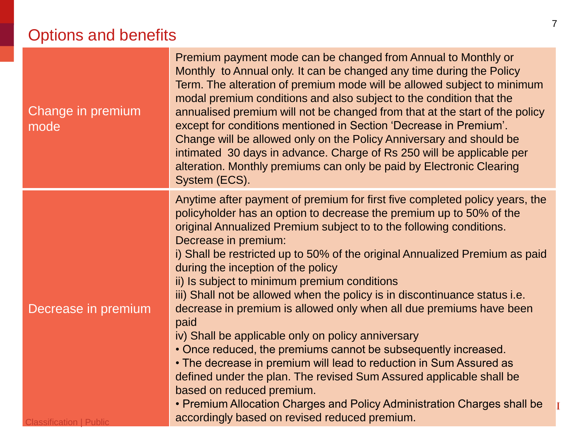# Options and benefits

| Change in premium<br>mode                             | Premium payment mode can be changed from Annual to Monthly or<br>Monthly to Annual only. It can be changed any time during the Policy<br>Term. The alteration of premium mode will be allowed subject to minimum<br>modal premium conditions and also subject to the condition that the<br>annualised premium will not be changed from that at the start of the policy<br>except for conditions mentioned in Section 'Decrease in Premium'.<br>Change will be allowed only on the Policy Anniversary and should be<br>intimated 30 days in advance. Charge of Rs 250 will be applicable per<br>alteration. Monthly premiums can only be paid by Electronic Clearing<br>System (ECS).                                                                                                                                                                                                                                                                                                                              |
|-------------------------------------------------------|-------------------------------------------------------------------------------------------------------------------------------------------------------------------------------------------------------------------------------------------------------------------------------------------------------------------------------------------------------------------------------------------------------------------------------------------------------------------------------------------------------------------------------------------------------------------------------------------------------------------------------------------------------------------------------------------------------------------------------------------------------------------------------------------------------------------------------------------------------------------------------------------------------------------------------------------------------------------------------------------------------------------|
| Decrease in premium<br><b>Classification   Public</b> | Anytime after payment of premium for first five completed policy years, the<br>policyholder has an option to decrease the premium up to 50% of the<br>original Annualized Premium subject to to the following conditions.<br>Decrease in premium:<br>i) Shall be restricted up to 50% of the original Annualized Premium as paid<br>during the inception of the policy<br>ii) Is subject to minimum premium conditions<br>iii) Shall not be allowed when the policy is in discontinuance status i.e.<br>decrease in premium is allowed only when all due premiums have been<br>paid<br>iv) Shall be applicable only on policy anniversary<br>• Once reduced, the premiums cannot be subsequently increased.<br>• The decrease in premium will lead to reduction in Sum Assured as<br>defined under the plan. The revised Sum Assured applicable shall be<br>based on reduced premium.<br>• Premium Allocation Charges and Policy Administration Charges shall be<br>accordingly based on revised reduced premium. |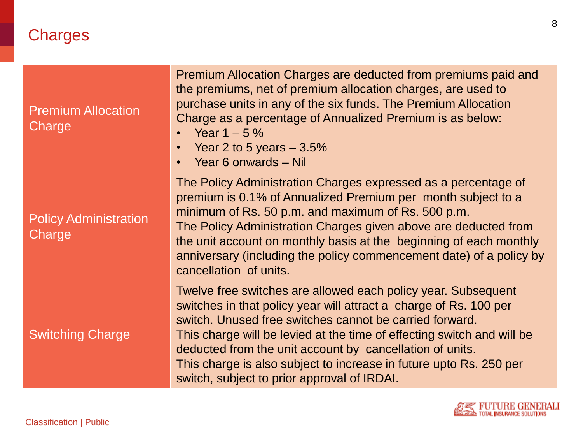| <b>Premium Allocation</b><br>Charge    | Premium Allocation Charges are deducted from premiums paid and<br>the premiums, net of premium allocation charges, are used to<br>purchase units in any of the six funds. The Premium Allocation<br>Charge as a percentage of Annualized Premium is as below:<br>Year $1 - 5\%$<br>Year 2 to 5 years $-3.5%$<br>$\bullet$<br>Year 6 onwards - Nil                                                                                                        |
|----------------------------------------|----------------------------------------------------------------------------------------------------------------------------------------------------------------------------------------------------------------------------------------------------------------------------------------------------------------------------------------------------------------------------------------------------------------------------------------------------------|
| <b>Policy Administration</b><br>Charge | The Policy Administration Charges expressed as a percentage of<br>premium is 0.1% of Annualized Premium per month subject to a<br>minimum of Rs. 50 p.m. and maximum of Rs. 500 p.m.<br>The Policy Administration Charges given above are deducted from<br>the unit account on monthly basis at the beginning of each monthly<br>anniversary (including the policy commencement date) of a policy by<br>cancellation of units.                           |
| <b>Switching Charge</b>                | Twelve free switches are allowed each policy year. Subsequent<br>switches in that policy year will attract a charge of Rs. 100 per<br>switch. Unused free switches cannot be carried forward.<br>This charge will be levied at the time of effecting switch and will be<br>deducted from the unit account by cancellation of units.<br>This charge is also subject to increase in future upto Rs. 250 per<br>switch, subject to prior approval of IRDAI. |

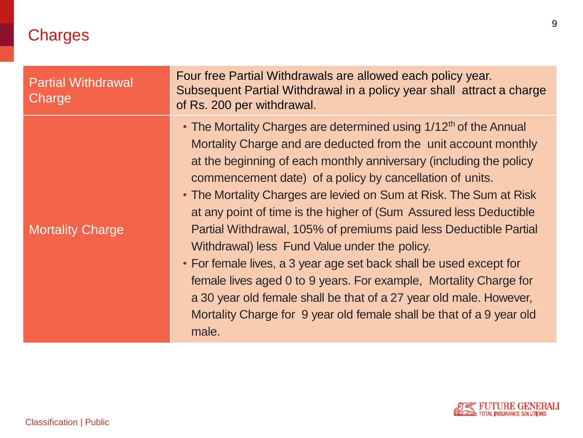| <b>Partial Withdrawal</b><br>Charge | Four free Partial Withdrawals are allowed each policy year.<br>Subsequent Partial Withdrawal in a policy year shall attract a charge<br>of Rs. 200 per withdrawal.                                                                                                                                                                                                                                                                                                                                                                                                                                                                                                                                                                                                                                                                                     |
|-------------------------------------|--------------------------------------------------------------------------------------------------------------------------------------------------------------------------------------------------------------------------------------------------------------------------------------------------------------------------------------------------------------------------------------------------------------------------------------------------------------------------------------------------------------------------------------------------------------------------------------------------------------------------------------------------------------------------------------------------------------------------------------------------------------------------------------------------------------------------------------------------------|
| <b>Mortality Charge</b>             | • The Mortality Charges are determined using 1/12 <sup>th</sup> of the Annual<br>Mortality Charge and are deducted from the unit account monthly<br>at the beginning of each monthly anniversary (including the policy<br>commencement date) of a policy by cancellation of units.<br>• The Mortality Charges are levied on Sum at Risk. The Sum at Risk<br>at any point of time is the higher of (Sum Assured less Deductible<br>Partial Withdrawal, 105% of premiums paid less Deductible Partial<br>Withdrawal) less Fund Value under the policy.<br>• For female lives, a 3 year age set back shall be used except for<br>female lives aged 0 to 9 years. For example, Mortality Charge for<br>a 30 year old female shall be that of a 27 year old male. However,<br>Mortality Charge for 9 year old female shall be that of a 9 year old<br>male. |

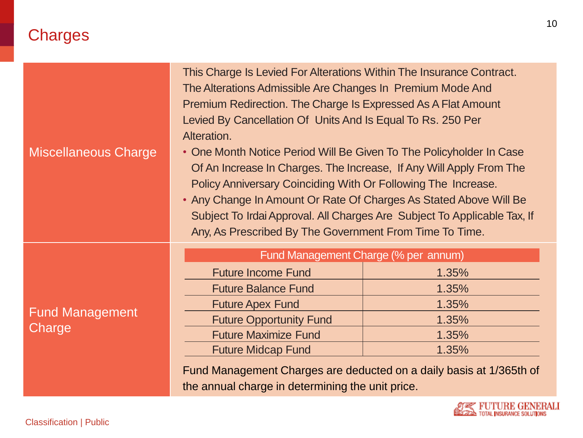| <b>Miscellaneous Charge</b>      | This Charge Is Levied For Alterations Within The Insurance Contract.<br>The Alterations Admissible Are Changes In Premium Mode And<br>Premium Redirection. The Charge Is Expressed As A Flat Amount<br>Levied By Cancellation Of Units And Is Equal To Rs. 250 Per<br>Alteration.<br>• One Month Notice Period Will Be Given To The Policyholder In Case<br>Of An Increase In Charges. The Increase, If Any Will Apply From The<br>Policy Anniversary Coinciding With Or Following The Increase.<br>• Any Change In Amount Or Rate Of Charges As Stated Above Will Be<br>Subject To Irdai Approval. All Charges Are Subject To Applicable Tax, If<br>Any, As Prescribed By The Government From Time To Time. |       |  |  |
|----------------------------------|--------------------------------------------------------------------------------------------------------------------------------------------------------------------------------------------------------------------------------------------------------------------------------------------------------------------------------------------------------------------------------------------------------------------------------------------------------------------------------------------------------------------------------------------------------------------------------------------------------------------------------------------------------------------------------------------------------------|-------|--|--|
|                                  | Fund Management Charge (% per annum)                                                                                                                                                                                                                                                                                                                                                                                                                                                                                                                                                                                                                                                                         |       |  |  |
|                                  | <b>Future Income Fund</b>                                                                                                                                                                                                                                                                                                                                                                                                                                                                                                                                                                                                                                                                                    | 1.35% |  |  |
|                                  | <b>Future Balance Fund</b>                                                                                                                                                                                                                                                                                                                                                                                                                                                                                                                                                                                                                                                                                   | 1.35% |  |  |
| <b>Fund Management</b><br>Charge | <b>Future Apex Fund</b>                                                                                                                                                                                                                                                                                                                                                                                                                                                                                                                                                                                                                                                                                      | 1.35% |  |  |
|                                  | <b>Future Opportunity Fund</b>                                                                                                                                                                                                                                                                                                                                                                                                                                                                                                                                                                                                                                                                               | 1.35% |  |  |
|                                  | <b>Future Maximize Fund</b>                                                                                                                                                                                                                                                                                                                                                                                                                                                                                                                                                                                                                                                                                  | 1.35% |  |  |
|                                  | <b>Future Midcap Fund</b>                                                                                                                                                                                                                                                                                                                                                                                                                                                                                                                                                                                                                                                                                    | 1.35% |  |  |
|                                  | Fund Management Charges are deducted on a daily basis at 1/365th of<br>the annual charge in determining the unit price.                                                                                                                                                                                                                                                                                                                                                                                                                                                                                                                                                                                      |       |  |  |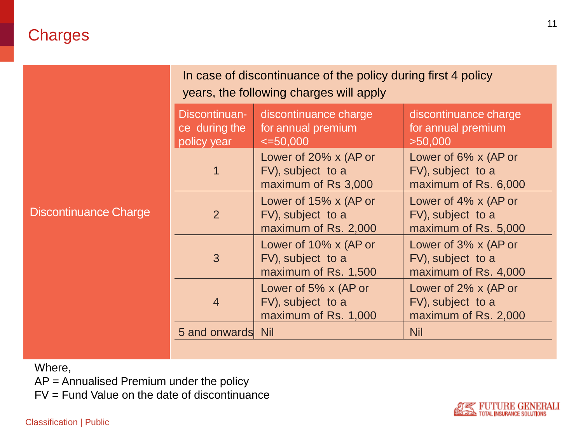|                              | In case of discontinuance of the policy during first 4 policy<br>years, the following charges will apply |                                                                    |                                                                      |  |
|------------------------------|----------------------------------------------------------------------------------------------------------|--------------------------------------------------------------------|----------------------------------------------------------------------|--|
| <b>Discontinuance Charge</b> | Discontinuan-<br>ce during the<br>policy year                                                            | discontinuance charge<br>for annual premium<br>$\leq 50,000$       | discontinuance charge<br>for annual premium<br>>50,000               |  |
|                              | 1                                                                                                        | Lower of 20% x (AP or<br>FV), subject to a<br>maximum of Rs 3,000  | Lower of 6% x (AP or<br>FV), subject to a<br>maximum of Rs. 6,000    |  |
|                              | 2                                                                                                        | Lower of 15% x (AP or<br>FV), subject to a<br>maximum of Rs. 2,000 | Lower of $4\%$ x (AP or<br>FV), subject to a<br>maximum of Rs. 5,000 |  |
|                              | 3                                                                                                        | Lower of 10% x (AP or<br>FV), subject to a<br>maximum of Rs. 1,500 | Lower of 3% x (AP or<br>FV), subject to a<br>maximum of Rs. 4,000    |  |
|                              | $\overline{4}$                                                                                           | Lower of 5% x (AP or<br>FV), subject to a<br>maximum of Rs. 1,000  | Lower of 2% x (AP or<br>FV), subject to a<br>maximum of Rs. 2,000    |  |
|                              | 5 and onwards Nil                                                                                        |                                                                    | <b>Nil</b>                                                           |  |
|                              |                                                                                                          |                                                                    |                                                                      |  |

Where,

AP = Annualised Premium under the policy

FV = Fund Value on the date of discontinuance

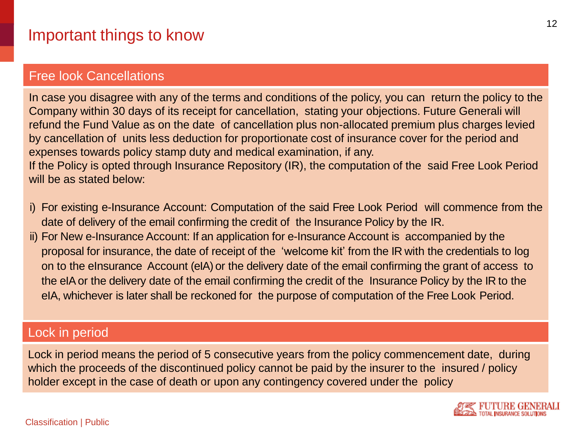#### Free look Cancellations

In case you disagree with any of the terms and conditions of the policy, you can return the policy to the Company within 30 days of its receipt for cancellation, stating your objections. Future Generali will refund the Fund Value as on the date of cancellation plus non-allocated premium plus charges levied by cancellation of units less deduction for proportionate cost of insurance cover for the period and expenses towards policy stamp duty and medical examination, if any. If the Policy is opted through Insurance Repository (IR), the computation of the said Free Look Period

will be as stated below:

- i) For existing e-Insurance Account: Computation of the said Free Look Period will commence from the date of delivery of the email confirming the credit of the Insurance Policy by the IR.
- ii) For New e-Insurance Account: If an application for e-Insurance Account is accompanied by the proposal for insurance, the date of receipt of the 'welcome kit' from the IR with the credentials to log on to the eInsurance Account (eIA) or the delivery date of the email confirming the grant of access to the eIAor the delivery date of the email confirming the credit of the Insurance Policy by the IR to the eIA, whichever is later shall be reckoned for the purpose of computation of the Free Look Period.

#### Lock in period

Lock in period means the period of 5 consecutive years from the policy commencement date, during which the proceeds of the discontinued policy cannot be paid by the insurer to the insured / policy holder except in the case of death or upon any contingency covered under the policy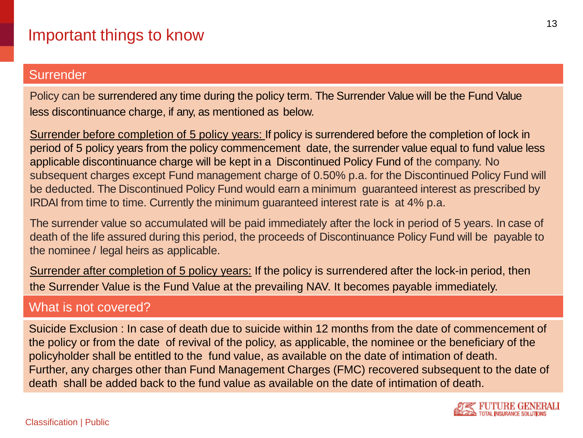#### **Surrender**

Policy can be surrendered any time during the policy term. The Surrender Value will be the Fund Value less discontinuance charge, if any, as mentioned as below.

Surrender before completion of 5 policy years: If policy is surrendered before the completion of lock in period of 5 policy years from the policy commencement date, the surrender value equal to fund value less applicable discontinuance charge will be kept in a Discontinued Policy Fund of the company. No subsequent charges except Fund management charge of 0.50% p.a. for the Discontinued Policy Fund will be deducted. The Discontinued Policy Fund would earn a minimum guaranteed interest as prescribed by IRDAI from time to time. Currently the minimum guaranteed interest rate is at 4% p.a.

The surrender value so accumulated will be paid immediately after the lock in period of 5 years. In case of death of the life assured during this period, the proceeds of Discontinuance Policy Fund will be payable to the nominee / legal heirs as applicable.

Surrender after completion of 5 policy years: If the policy is surrendered after the lock-in period, then the Surrender Value is the Fund Value at the prevailing NAV. It becomes payable immediately.

#### What is not covered?

Suicide Exclusion : In case of death due to suicide within 12 months from the date of commencement of the policy or from the date of revival of the policy, as applicable, the nominee or the beneficiary of the policyholder shall be entitled to the fund value, as available on the date of intimation of death. Further, any charges other than Fund Management Charges (FMC) recovered subsequent to the date of death shall be added back to the fund value as available on the date of intimation of death.

13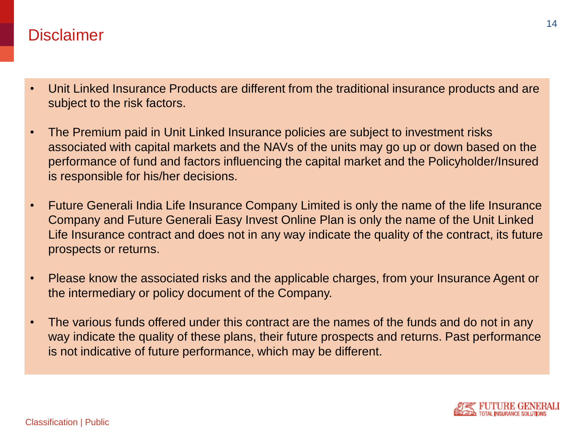#### **Disclaimer**

- Unit Linked Insurance Products are different from the traditional insurance products and are subject to the risk factors.
- The Premium paid in Unit Linked Insurance policies are subject to investment risks associated with capital markets and the NAVs of the units may go up or down based on the performance of fund and factors influencing the capital market and the Policyholder/Insured is responsible for his/her decisions.
- Future Generali India Life Insurance Company Limited is only the name of the life Insurance Company and Future Generali Easy Invest Online Plan is only the name of the Unit Linked Life Insurance contract and does not in any way indicate the quality of the contract, its future prospects or returns.
- Please know the associated risks and the applicable charges, from your Insurance Agent or the intermediary or policy document of the Company.
- The various funds offered under this contract are the names of the funds and do not in any way indicate the quality of these plans, their future prospects and returns. Past performance is not indicative of future performance, which may be different.

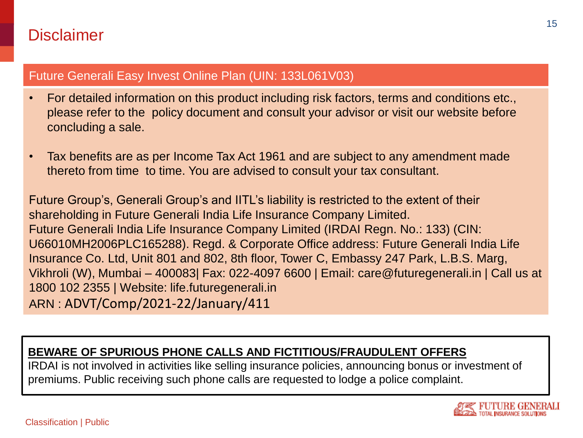### **Disclaimer**

#### Future Generali Easy Invest Online Plan (UIN: 133L061V03)

- For detailed information on this product including risk factors, terms and conditions etc., please refer to the policy document and consult your advisor or visit our website before concluding a sale.
- Tax benefits are as per Income Tax Act 1961 and are subject to any amendment made thereto from time to time. You are advised to consult your tax consultant.

Future Group's, Generali Group's and IITL's liability is restricted to the extent of their shareholding in Future Generali India Life Insurance Company Limited. Future Generali India Life Insurance Company Limited (IRDAI Regn. No.: 133) (CIN: U66010MH2006PLC165288). Regd. & Corporate Office address: Future Generali India Life Insurance Co. Ltd, Unit 801 and 802, 8th floor, Tower C, Embassy 247 Park, L.B.S. Marg, Vikhroli (W), Mumbai – 400083| Fax: 022-4097 6600 | Email: care@futuregenerali.in | Call us at 1800 102 2355 | Website: life.futuregenerali.in ARN : ADVT/Comp/2021-22/January/411

#### **BEWARE OF SPURIOUS PHONE CALLS AND FICTITIOUS/FRAUDULENT OFFERS**

IRDAI is not involved in activities like selling insurance policies, announcing bonus or investment of premiums. Public receiving such phone calls are requested to lodge a police complaint.